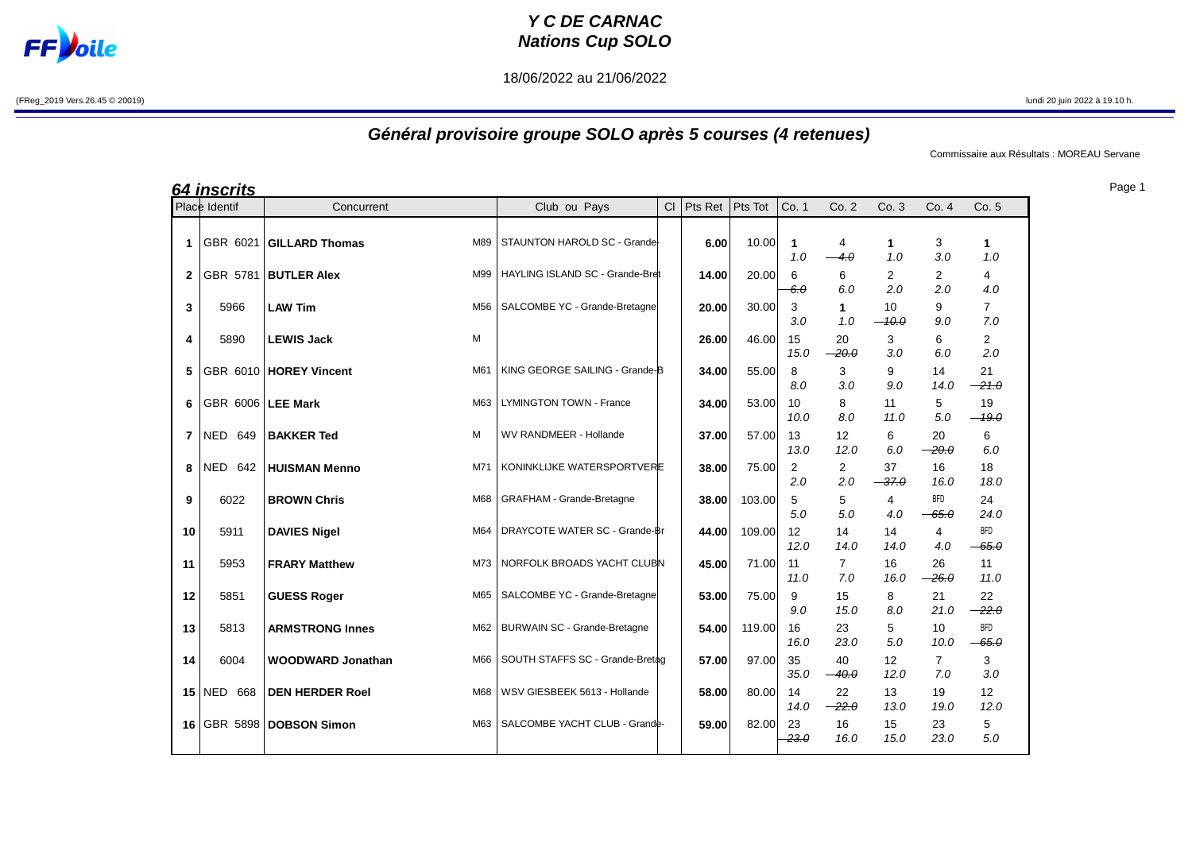## **FF**bile

## **Y C DE CARNAC Nations Cup SOLO**

18/06/2022 au 21/06/2022

(FReg\_2019 Vers.26.45 © 20019) lundi 20 juin 2022 à 19.10 h.

## **Général provisoire groupe SOLO après 5 courses (4 retenues)**

Commissaire aux Résultats : MOREAU Servane

|              | <u>64 inscrits</u>  |                          |     |                                     |    |         |         |                       |                         |                       |                       |                       |
|--------------|---------------------|--------------------------|-----|-------------------------------------|----|---------|---------|-----------------------|-------------------------|-----------------------|-----------------------|-----------------------|
|              | Place Identif       | Concurrent               |     | Club ou Pays                        | CI | Pts Ret | Pts Tot | Co. 1                 | Co.2                    | Co.3                  | Co.4                  | Co. 5                 |
| 1            | GBR 6021            | <b>GILLARD Thomas</b>    | M89 | STAUNTON HAROLD SC - Grande-        |    | 6.00    | 10.00   | $\mathbf{1}$<br>1.0   | 4<br>$-4.0$             | $\mathbf{1}$<br>1.0   | 3<br>3.0              | 1<br>1.0              |
| $\mathbf{2}$ | GBR 5781            | <b>BUTLER Alex</b>       | M99 | HAYLING ISLAND SC - Grande-Bret     |    | 14.00   | 20.00   | 6<br>$6\theta$        | 6<br>6.0                | $\overline{2}$<br>2.0 | 2<br>2.0              | 4<br>4.0              |
| 3            | 5966                | <b>LAW Tim</b>           | M56 | SALCOMBE YC - Grande-Bretagne       |    | 20.00   | 30.00   | 3<br>3.0              | 1<br>1.0                | 10<br>$-10.0$         | 9<br>9.0              | $\overline{7}$<br>7.0 |
| 4            | 5890                | <b>LEWIS Jack</b><br>M   |     |                                     |    | 26.00   | 46.00   | 15<br>15.0            | 20<br>$-20.0$           | 3<br>3.0              | 6<br>6.0              | $\overline{2}$<br>2.0 |
| 5            |                     | GBR 6010   HOREY Vincent | M61 | KING GEORGE SAILING - Grande-B      |    | 34.00   | 55.00   | 8<br>8.0              | 3<br>3.0                | 9<br>9.0              | 14<br>14.0            | 21<br>$-21.0$         |
| 6            | GBR 6006   LEE Mark |                          | M63 | <b>LYMINGTON TOWN - France</b>      |    | 34.00   | 53.00   | 10<br>10.0            | 8<br>8.0                | 11<br>11.0            | 5<br>5.0              | 19<br>$-19.0$         |
| 7            | <b>NED 649</b>      | M<br><b>BAKKER Ted</b>   |     | WV RANDMEER - Hollande              |    | 37.00   | 57.00   | 13<br>13.0            | 12 <sup>2</sup><br>12.0 | 6<br>6.0              | 20<br>$-20.0$         | 6<br>6.0              |
| 8            | NED 642             | <b>HUISMAN Menno</b>     | M71 | KONINKLIJKE WATERSPORTVERE          |    | 38.00   | 75.00   | $\overline{2}$<br>2.0 | 2<br>2.0                | 37<br>$-37.0$         | 16<br>16.0            | 18<br>18.0            |
| 9            | 6022                | <b>BROWN Chris</b>       | M68 | <b>GRAFHAM - Grande-Bretagne</b>    |    | 38.00   | 103.00  | 5<br>5.0              | 5<br>5.0                | 4<br>4.0              | <b>BFD</b><br>$-65.0$ | 24<br>24.0            |
| 10           | 5911                | <b>DAVIES Nigel</b>      | M64 | DRAYCOTE WATER SC - Grande-Br       |    | 44.00   | 109.00  | 12<br>12.0            | 14<br>14.0              | 14<br>14.0            | 4<br>4.0              | <b>BFD</b><br>$-65.0$ |
| 11           | 5953                | <b>FRARY Matthew</b>     | M73 | NORFOLK BROADS YACHT CLUBN          |    | 45.00   | 71.00   | 11<br>11.0            | $\overline{7}$<br>7.0   | 16<br>16.0            | 26<br>$-26.0$         | 11<br>11.0            |
| 12           | 5851                | <b>GUESS Roger</b>       | M65 | SALCOMBE YC - Grande-Bretagne       |    | 53.00   | 75.00   | 9<br>9.0              | 15<br>15.0              | 8<br>8.0              | 21<br>21.0            | 22<br>$-22.0$         |
| 13           | 5813                | <b>ARMSTRONG Innes</b>   | M62 | <b>BURWAIN SC - Grande-Bretagne</b> |    | 54.00   | 119.00  | 16<br>16.0            | 23<br>23.0              | 5<br>5.0              | 10<br>10.0            | <b>BFD</b><br>$-65.0$ |
| 14           | 6004                | <b>WOODWARD Jonathan</b> | M66 | SOUTH STAFFS SC - Grande-Bretag     |    | 57.00   | 97.00   | 35<br>35.0            | 40<br>$-40.0$           | 12<br>12.0            | $\overline{7}$<br>7.0 | 3<br>3.0              |
| 15           | <b>NED 668</b>      | <b>DEN HERDER Roel</b>   | M68 | WSV GIESBEEK 5613 - Hollande        |    | 58.00   | 80.00   | 14<br>14.0            | 22<br>$-22.0$           | 13<br>13.0            | 19<br>19.0            | 12<br>12.0            |
| 16           | GBR 5898            | <b>DOBSON Simon</b>      | M63 | SALCOMBE YACHT CLUB - Grande-       |    | 59.00   | 82.00   | 23<br>23.0            | 16<br>16.0              | 15<br>15.0            | 23<br>23.0            | 5<br>5.0              |

Page 1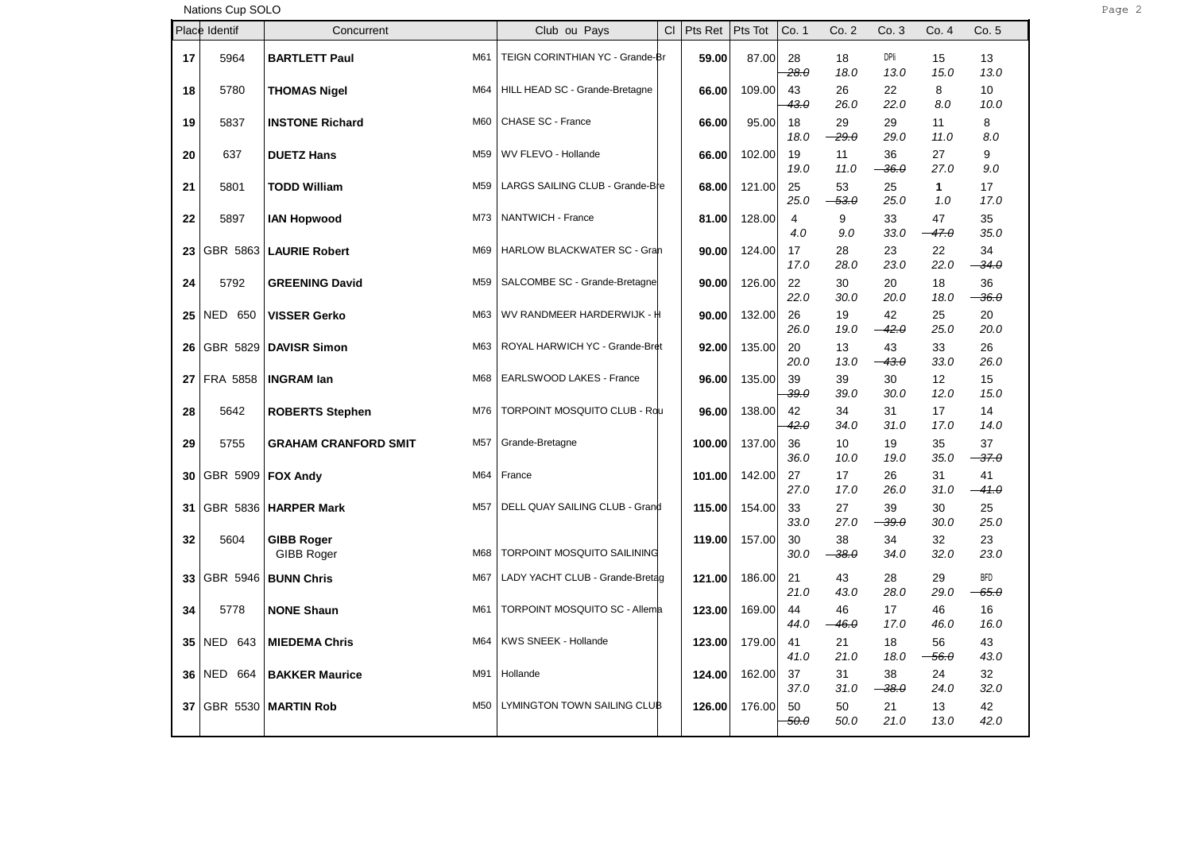Nations Cup SOLO Page 2

|    | Place Identif       | Concurrent                                     | Club ou Pays                         | CI | Pts Ret | Pts Tot | Co. 1                 | Co.2                  | Co. 3                         | Co. 4                   | Co. 5                 |
|----|---------------------|------------------------------------------------|--------------------------------------|----|---------|---------|-----------------------|-----------------------|-------------------------------|-------------------------|-----------------------|
| 17 | 5964                | <b>BARTLETT Paul</b><br>M61                    | TEIGN CORINTHIAN YC - Grande-Br      |    | 59.00   | 87.00   | 28<br>28.0            | 18<br>18.0            | DPIi<br>13.0                  | 15<br>15.0              | 13<br>13.0            |
| 18 | 5780                | M64<br><b>THOMAS Nigel</b>                     | HILL HEAD SC - Grande-Bretagne       |    | 66.00   | 109.00  | 43<br><del>43.0</del> | 26<br>26.0            | 22<br>22.0                    | 8<br>8.0                | 10<br>10.0            |
| 19 | 5837                | M60<br><b>INSTONE Richard</b>                  | CHASE SC - France                    |    | 66.00   | 95.00   | 18<br>18.0            | 29<br>$-29.0$         | 29<br>29.0                    | 11<br>11.0              | 8<br>8.0              |
| 20 | 637                 | <b>DUETZ Hans</b><br>M <sub>59</sub>           | WV FLEVO - Hollande                  |    | 66.00   | 102.00  | 19<br>19.0            | 11<br>11.0            | 36<br>$36. \theta$            | 27<br>27.0              | 9<br>9.0              |
| 21 | 5801                | <b>TODD William</b><br>M59                     | LARGS SAILING CLUB - Grande-Bre      |    | 68.00   | 121.00  | 25<br>25.0            | 53<br>$-53.0$         | 25<br>25.0                    | $\mathbf{1}$<br>1.0     | 17<br>17.0            |
| 22 | 5897                | M73<br><b>IAN Hopwood</b>                      | NANTWICH - France                    |    | 81.00   | 128.00  | 4<br>4.0              | 9<br>9.0              | 33<br>33.0                    | 47<br><del>- 47.0</del> | 35<br>35.0            |
| 23 | GBR 5863            | M69<br><b>LAURIE Robert</b>                    | HARLOW BLACKWATER SC - Gran          |    | 90.00   | 124.00  | 17<br>17.0            | 28<br>28.0            | 23<br>23.0                    | 22<br>22.0              | 34<br>$-34.0$         |
| 24 | 5792                | M <sub>59</sub><br><b>GREENING David</b>       | SALCOMBE SC - Grande-Bretagne        |    | 90.00   | 126.00  | 22<br>22.0            | 30<br>30.0            | 20<br>20.0                    | 18<br>18.0              | 36<br>$-36.0$         |
| 25 | <b>NED 650</b>      | M63<br><b>VISSER Gerko</b>                     | WV RANDMEER HARDERWIJK - H           |    | 90.00   | 132.00  | 26<br>26.0            | 19<br>19.0            | 42<br>$-42.0$                 | 25<br>25.0              | 20<br>20.0            |
| 26 | GBR 5829            | <b>DAVISR Simon</b><br>M63                     | ROYAL HARWICH YC - Grande-Bret       |    | 92.00   | 135.00  | 20<br>20.0            | 13<br>13.0            | 43<br>$-43.0$                 | 33<br>33.0              | 26<br>26.0            |
| 27 | FRA 5858            | <b>INGRAM lan</b><br>M68                       | EARLSWOOD LAKES - France             |    | 96.00   | 135.00  | 39<br>39.0            | 39<br>39.0            | 30<br>30.0                    | 12<br>12.0              | 15<br>15.0            |
| 28 | 5642                | M76<br><b>ROBERTS Stephen</b>                  | TORPOINT MOSQUITO CLUB - Rdu         |    | 96.00   | 138.00  | 42<br>42.0            | 34<br>34.0            | 31<br>31.0                    | 17<br>17.0              | 14<br>14.0            |
| 29 | 5755                | <b>GRAHAM CRANFORD SMIT</b><br>M <sub>57</sub> | Grande-Bretagne                      |    | 100.00  | 137.00  | 36<br>36.0            | 10<br>10.0            | 19<br>19.0                    | 35<br>35.0              | 37<br>$-37.0$         |
| 30 | GBR 5909   FOX Andy | M64                                            | France                               |    | 101.00  | 142.00  | 27<br>27.0            | 17<br>17.0            | 26<br>26.0                    | 31<br>31.0              | 41<br>$-41.0$         |
| 31 |                     | GBR 5836   HARPER Mark<br>M <sub>57</sub>      | DELL QUAY SAILING CLUB - Grand       |    | 115.00  | 154.00  | 33<br>33.0            | 27<br>27.0            | 39<br><del>39.0</del>         | 30<br>30.0              | 25<br>25.0            |
| 32 | 5604                | <b>GIBB Roger</b><br>GIBB Roger<br>M68         | TORPOINT MOSQUITO SAILINING          |    | 119.00  | 157.00  | 30<br>30.0            | 38<br>$-38.0$         | 34<br>34.0                    | 32<br>32.0              | 23<br>23.0            |
| 33 | GBR 5946            | <b>BUNN Chris</b><br>M67                       | LADY YACHT CLUB - Grande-Bretag      |    | 121.00  | 186.00  | 21<br>21.0            | 43                    | 28                            | 29                      | <b>BFD</b>            |
| 34 | 5778                | <b>NONE Shaun</b><br>M61                       | <b>TORPOINT MOSQUITO SC - Allema</b> |    | 123.00  | 169.00  | 44<br>44.0            | 43.0<br>46<br>$-46.0$ | 28.0<br>17<br>17.0            | 29.0<br>46<br>46.0      | $-65.0$<br>16<br>16.0 |
| 35 | NED 643             | M64<br><b>MIEDEMA Chris</b>                    | KWS SNEEK - Hollande                 |    | 123.00  | 179.00  | 41                    | 21                    | 18                            | 56                      | 43                    |
| 36 | <b>NED 664</b>      | M91<br><b>BAKKER Maurice</b>                   | Hollande                             |    | 124.00  | 162.00  | 41.0<br>37            | 21.0<br>31            | 18.0<br>38                    | <del>56.0</del><br>24   | 43.0<br>32            |
| 37 | GBR 5530            | <b>MARTIN Rob</b><br>M <sub>50</sub>           | LYMINGTON TOWN SAILING CLUB          |    | 126.00  | 176.00  | 37.0<br>50<br>50.0    | 31.0<br>50<br>50.0    | <del>38.0</del><br>21<br>21.0 | 24.0<br>13<br>13.0      | 32.0<br>42<br>42.0    |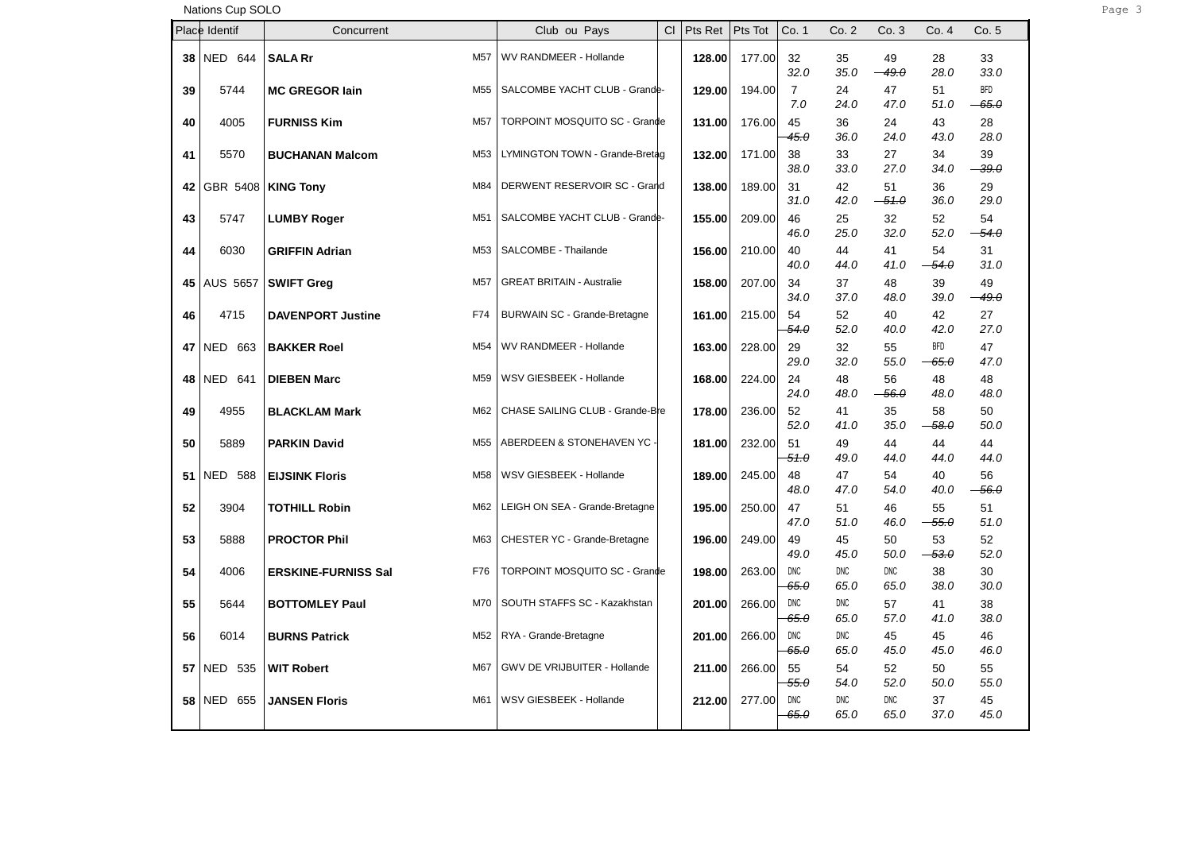Nations Cup SOLO Page 3

|    | Place Identif        | Concurrent                                | Club ou Pays                        | <b>CI</b> | Pts Ret | Pts Tot | Co. 1                     | Co.2               | Co.3               | Co. 4                           | Co. 5                 |
|----|----------------------|-------------------------------------------|-------------------------------------|-----------|---------|---------|---------------------------|--------------------|--------------------|---------------------------------|-----------------------|
| 38 | NED 644              | M <sub>57</sub><br><b>SALA Rr</b>         | WV RANDMEER - Hollande              |           | 128.00  | 177.00  | 32<br>32.0                | 35<br>35.0         | 49<br>$-49.0$      | 28<br>28.0                      | 33<br>33.0            |
| 39 | 5744                 | M <sub>55</sub><br><b>MC GREGOR lain</b>  | SALCOMBE YACHT CLUB - Grande-       |           | 129.00  | 194.00  | $\overline{7}$<br>7.0     | 24<br>24.0         | 47<br>47.0         | 51<br>51.0                      | <b>BFD</b><br>$-65.0$ |
| 40 | 4005                 | M <sub>57</sub><br><b>FURNISS Kim</b>     | TORPOINT MOSQUITO SC - Grande       |           | 131.00  | 176.00  | 45<br>45.0                | 36<br>36.0         | 24<br>24.0         | 43<br>43.0                      | 28<br>28.0            |
| 41 | 5570                 | M <sub>53</sub><br><b>BUCHANAN Malcom</b> | LYMINGTON TOWN - Grande-Bretag      |           | 132.00  | 171.00  | 38<br>38.0                | 33<br>33.0         | 27<br>27.0         | 34<br>34.0                      | 39<br>$-39.0$         |
| 42 | GBR 5408   KING Tony | M84                                       | DERWENT RESERVOIR SC - Grand        |           | 138.00  | 189.00  | 31<br>31.0                | 42<br>42.0         | 51<br>$-51.0$      | 36<br>36.0                      | 29<br>29.0            |
| 43 | 5747                 | M51<br><b>LUMBY Roger</b>                 | SALCOMBE YACHT CLUB - Grande-       |           | 155.00  | 209.00  | 46<br>46.0                | 25<br>25.0         | 32<br>32.0         | 52<br>52.0                      | 54<br>54.0            |
| 44 | 6030                 | M <sub>53</sub><br><b>GRIFFIN Adrian</b>  | SALCOMBE - Thailande                |           | 156.00  | 210.00  | 40<br>40.0                | 44<br>44.0         | 41<br>41.0         | 54<br>$-54.0$                   | 31<br>31.0            |
| 45 | AUS 5657             | M57<br><b>SWIFT Greg</b>                  | <b>GREAT BRITAIN - Australie</b>    |           | 158.00  | 207.00  | 34<br>34.0                | 37<br>37.0         | 48<br>48.0         | 39<br>39.0                      | 49<br>$-49.0$         |
| 46 | 4715                 | F74<br><b>DAVENPORT Justine</b>           | <b>BURWAIN SC - Grande-Bretagne</b> |           | 161.00  | 215.00  | 54<br><del>54.0</del>     | 52<br>52.0         | 40<br>40.0         | 42<br>42.0                      | 27<br>27.0            |
| 47 | NED 663              | M <sub>54</sub><br><b>BAKKER Roel</b>     | WV RANDMEER - Hollande              |           | 163.00  | 228.00  | 29<br>29.0                | 32<br>32.0         | 55<br>55.0         | <b>BFD</b><br><del>- 65.0</del> | 47<br>47.0            |
| 48 | <b>NED 641</b>       | <b>DIEBEN Marc</b><br>M59                 | WSV GIESBEEK - Hollande             |           | 168.00  | 224.00  | 24<br>24.0                | 48<br>48.0         | 56<br>$-56.0$      | 48<br>48.0                      | 48<br>48.0            |
| 49 | 4955                 | M62<br><b>BLACKLAM Mark</b>               | CHASE SAILING CLUB - Grande-Bre     |           | 178.00  | 236.00  | 52<br>52.0                | 41<br>41.0         | 35<br>35.0         | 58<br>$-58.0$                   | 50<br>50.0            |
| 50 | 5889                 | M <sub>55</sub><br><b>PARKIN David</b>    | ABERDEEN & STONEHAVEN YC -          |           | 181.00  | 232.00  | 51<br>51.0                | 49<br>49.0         | 44<br>44.0         | 44<br>44.0                      | 44<br>44.0            |
| 51 | <b>NED 588</b>       | <b>EIJSINK Floris</b><br>M58              | WSV GIESBEEK - Hollande             |           | 189.00  | 245.00  | 48<br>48.0                | 47<br>47.0         | 54<br>54.0         | 40<br>40.0                      | 56<br>$-56.0$         |
| 52 | 3904                 | M62<br><b>TOTHILL Robin</b>               | LEIGH ON SEA - Grande-Bretagne      |           | 195.00  | 250.00  | 47<br>47.0                | 51<br>51.0         | 46<br>46.0         | 55<br>$-55.0$                   | 51<br>51.0            |
| 53 | 5888                 | M63<br><b>PROCTOR Phil</b>                | CHESTER YC - Grande-Bretagne        |           | 196.00  | 249.00  | 49<br>49.0                | 45<br>45.0         | 50<br>50.0         | 53<br>$-53.0$                   | 52<br>52.0            |
| 54 | 4006                 | F76<br><b>ERSKINE-FURNISS Sal</b>         | TORPOINT MOSQUITO SC - Grande       |           | 198.00  | 263.00  | <b>DNC</b><br>$65.\theta$ | DNC<br>65.0        | <b>DNC</b><br>65.0 | 38<br>38.0                      | 30<br>30.0            |
| 55 | 5644                 | <b>BOTTOMLEY Paul</b><br>M70              | SOUTH STAFFS SC - Kazakhstan        |           | 201.00  | 266.00  | DNC<br>$65.\theta$        | DNC<br>65.0        | 57<br>57.0         | 41<br>41.0                      | 38<br>38.0            |
| 56 | 6014                 | M52<br><b>BURNS Patrick</b>               | RYA - Grande-Bretagne               |           | 201.00  | 266.00  | <b>DNC</b><br>$65.\theta$ | <b>DNC</b><br>65.0 | 45<br>45.0         | 45<br>45.0                      | 46<br>46.0            |
| 57 | <b>NED 535</b>       | <b>WIT Robert</b><br>M67                  | GWV DE VRIJBUITER - Hollande        |           | 211.00  | 266.00  | 55<br>55.0                | 54<br>54.0         | 52<br>52.0         | 50<br>50.0                      | 55<br>55.0            |
| 58 | <b>NED 655</b>       | M61<br><b>JANSEN Floris</b>               | WSV GIESBEEK - Hollande             |           | 212.00  | 277.00  | <b>DNC</b><br>65.0        | DNC<br>65.0        | DNC<br>65.0        | 37<br>37.0                      | 45<br>45.0            |